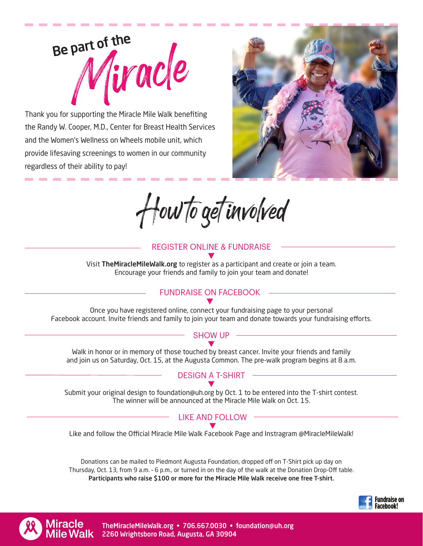

Thank you for supporting the Miracle Mile Walk benefiting the Randy W. Cooper, M.D., Center for Breast Health Services and the Women's Wellness on Wheels mobile unit, which provide lifesaving screenings to women in our community regardless of their ability to pay!



How to get involved

## REGISTER ONLINE & FUNDRAISE

Visit TheMiracleMileWalk.org to register as a participant and create or join a team. Encourage your friends and family to join your team and donate! t

# FUNDRAISE ON FACEBOOK

#### Once you have registered online, connect your fundraising page to your personal Facebook account. Invite friends and family to join your team and donate towards your fundraising efforts. t

## SHOW UP

Walk in honor or in memory of those touched by breast cancer. Invite your friends and family and join us on Saturday, Oct. 15, at the Augusta Common. The pre-walk program begins at 8 a.m. t

### DESIGN A T-SHIRT t

Submit your original design to foundation@uh.org by Oct. 1 to be entered into the T-shirt contest. The winner will be announced at the Miracle Mile Walk on Oct. 15.

#### LIKE AND FOLLOW t

Like and follow the Official Miracle Mile Walk Facebook Page and Instragram @MiracleMileWalk!

Donations can be mailed to Piedmont Augusta Foundation, dropped off on T-Shirt pick up day on Thursday, Oct. 13, from 9 a.m. – 6 p.m., or turned in on the day of the walk at the Donation Drop-Off table. Participants who raise \$100 or more for the Miracle Mile Walk receive one free T-shirt.